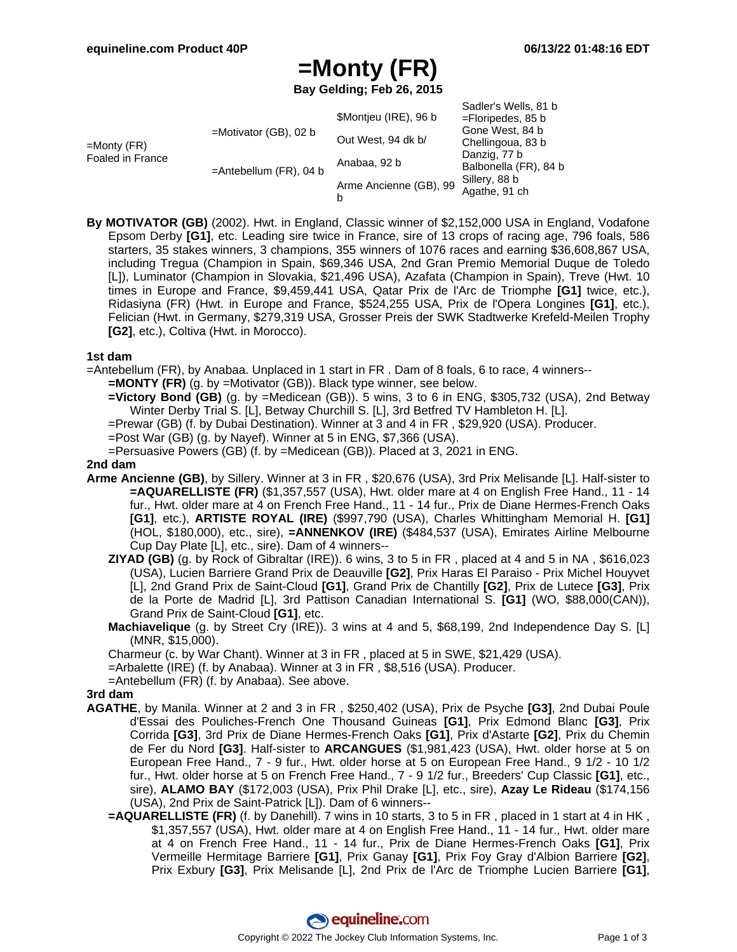# **=Monty (FR)**

**Bay Gelding; Feb 26, 2015**

|                                    |                           | \$Montjeu (IRE), 96 b       | Sadler's Wells, 81 b<br>$=$ Floripedes, 85 b                                                                    |
|------------------------------------|---------------------------|-----------------------------|-----------------------------------------------------------------------------------------------------------------|
| $=$ Monty (FR)<br>Foaled in France | $=$ Motivator (GB), 02 b  | Out West, 94 dk b/          | Gone West, 84 b<br>Chellingoua, 83 b<br>Danzig, 77 b<br>Balbonella (FR), 84 b<br>Sillery, 88 b<br>Agathe, 91 ch |
|                                    | $=$ Antebellum (FR), 04 b | Anabaa, 92 b                |                                                                                                                 |
|                                    |                           | Arme Ancienne (GB), 99<br>b |                                                                                                                 |

**By MOTIVATOR (GB)** (2002). Hwt. in England, Classic winner of \$2,152,000 USA in England, Vodafone Epsom Derby **[G1]**, etc. Leading sire twice in France, sire of 13 crops of racing age, 796 foals, 586 starters, 35 stakes winners, 3 champions, 355 winners of 1076 races and earning \$36,608,867 USA, including Tregua (Champion in Spain, \$69,346 USA, 2nd Gran Premio Memorial Duque de Toledo [L]), Luminator (Champion in Slovakia, \$21,496 USA), Azafata (Champion in Spain), Treve (Hwt. 10 times in Europe and France, \$9,459,441 USA, Qatar Prix de l'Arc de Triomphe **[G1]** twice, etc.), Ridasiyna (FR) (Hwt. in Europe and France, \$524,255 USA, Prix de l'Opera Longines **[G1]**, etc.), Felician (Hwt. in Germany, \$279,319 USA, Grosser Preis der SWK Stadtwerke Krefeld-Meilen Trophy **[G2]**, etc.), Coltiva (Hwt. in Morocco).

### **1st dam**

- =Antebellum (FR), by Anabaa. Unplaced in 1 start in FR . Dam of 8 foals, 6 to race, 4 winners--
	- **=MONTY (FR)** (g. by =Motivator (GB)). Black type winner, see below.
	- **=Victory Bond (GB)** (g. by =Medicean (GB)). 5 wins, 3 to 6 in ENG, \$305,732 (USA), 2nd Betway Winter Derby Trial S. [L], Betway Churchill S. [L], 3rd Betfred TV Hambleton H. [L].
	- =Prewar (GB) (f. by Dubai Destination). Winner at 3 and 4 in FR , \$29,920 (USA). Producer.
	- =Post War (GB) (g. by Nayef). Winner at 5 in ENG, \$7,366 (USA).
	- =Persuasive Powers (GB) (f. by =Medicean (GB)). Placed at 3, 2021 in ENG.

#### **2nd dam**

- **Arme Ancienne (GB)**, by Sillery. Winner at 3 in FR , \$20,676 (USA), 3rd Prix Melisande [L]. Half-sister to **=AQUARELLISTE (FR)** (\$1,357,557 (USA), Hwt. older mare at 4 on English Free Hand., 11 - 14 fur., Hwt. older mare at 4 on French Free Hand., 11 - 14 fur., Prix de Diane Hermes-French Oaks **[G1]**, etc.), **ARTISTE ROYAL (IRE)** (\$997,790 (USA), Charles Whittingham Memorial H. **[G1]** (HOL, \$180,000), etc., sire), **=ANNENKOV (IRE)** (\$484,537 (USA), Emirates Airline Melbourne Cup Day Plate [L], etc., sire). Dam of 4 winners--
	- **ZIYAD (GB)** (g. by Rock of Gibraltar (IRE)). 6 wins, 3 to 5 in FR , placed at 4 and 5 in NA , \$616,023 (USA), Lucien Barriere Grand Prix de Deauville **[G2]**, Prix Haras El Paraiso - Prix Michel Houyvet [L], 2nd Grand Prix de Saint-Cloud **[G1]**, Grand Prix de Chantilly **[G2]**, Prix de Lutece **[G3]**, Prix de la Porte de Madrid [L], 3rd Pattison Canadian International S. **[G1]** (WO, \$88,000(CAN)), Grand Prix de Saint-Cloud **[G1]**, etc.
	- **Machiavelique** (g. by Street Cry (IRE)). 3 wins at 4 and 5, \$68,199, 2nd Independence Day S. [L] (MNR, \$15,000).

Charmeur (c. by War Chant). Winner at 3 in FR , placed at 5 in SWE, \$21,429 (USA).

- =Arbalette (IRE) (f. by Anabaa). Winner at 3 in FR , \$8,516 (USA). Producer.
- =Antebellum (FR) (f. by Anabaa). See above.

### **3rd dam**

- **AGATHE**, by Manila. Winner at 2 and 3 in FR , \$250,402 (USA), Prix de Psyche **[G3]**, 2nd Dubai Poule d'Essai des Pouliches-French One Thousand Guineas **[G1]**, Prix Edmond Blanc **[G3]**, Prix Corrida **[G3]**, 3rd Prix de Diane Hermes-French Oaks **[G1]**, Prix d'Astarte **[G2]**, Prix du Chemin de Fer du Nord **[G3]**. Half-sister to **ARCANGUES** (\$1,981,423 (USA), Hwt. older horse at 5 on European Free Hand., 7 - 9 fur., Hwt. older horse at 5 on European Free Hand., 9 1/2 - 10 1/2 fur., Hwt. older horse at 5 on French Free Hand., 7 - 9 1/2 fur., Breeders' Cup Classic **[G1]**, etc., sire), **ALAMO BAY** (\$172,003 (USA), Prix Phil Drake [L], etc., sire), **Azay Le Rideau** (\$174,156 (USA), 2nd Prix de Saint-Patrick [L]). Dam of 6 winners--
	- **=AQUARELLISTE (FR)** (f. by Danehill). 7 wins in 10 starts, 3 to 5 in FR, placed in 1 start at 4 in HK, \$1,357,557 (USA), Hwt. older mare at 4 on English Free Hand., 11 - 14 fur., Hwt. older mare at 4 on French Free Hand., 11 - 14 fur., Prix de Diane Hermes-French Oaks **[G1]**, Prix Vermeille Hermitage Barriere **[G1]**, Prix Ganay **[G1]**, Prix Foy Gray d'Albion Barriere **[G2]**, Prix Exbury **[G3]**, Prix Melisande [L], 2nd Prix de l'Arc de Triomphe Lucien Barriere **[G1]**,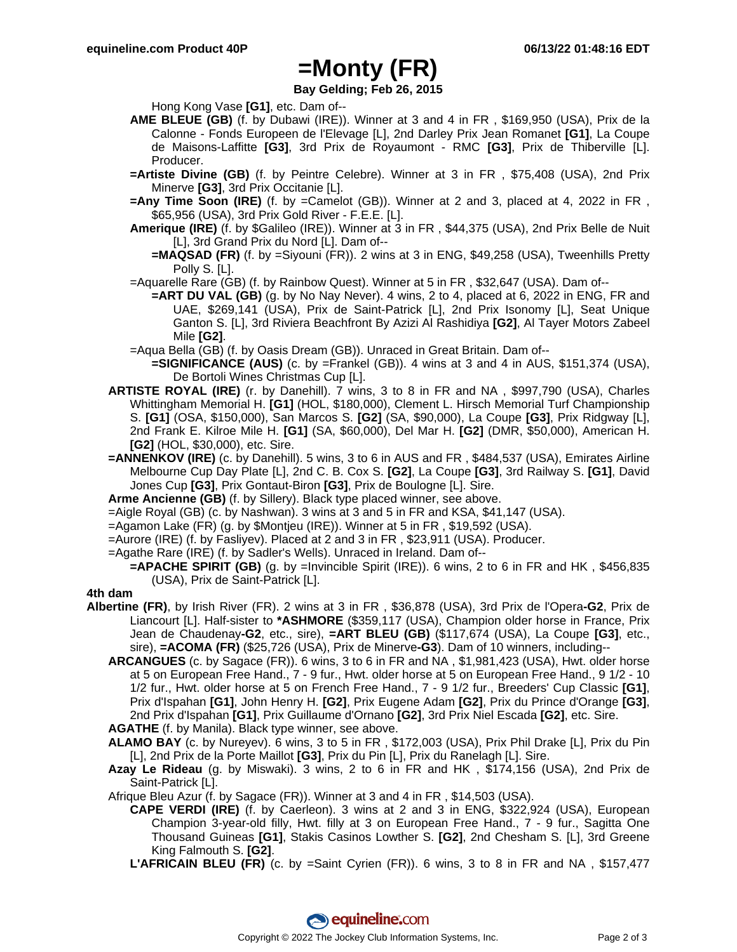## **=Monty (FR)**

### **Bay Gelding; Feb 26, 2015**

Hong Kong Vase **[G1]**, etc. Dam of--

- **AME BLEUE (GB)** (f. by Dubawi (IRE)). Winner at 3 and 4 in FR , \$169,950 (USA), Prix de la Calonne - Fonds Europeen de l'Elevage [L], 2nd Darley Prix Jean Romanet **[G1]**, La Coupe de Maisons-Laffitte **[G3]**, 3rd Prix de Royaumont - RMC **[G3]**, Prix de Thiberville [L]. Producer.
- **=Artiste Divine (GB)** (f. by Peintre Celebre). Winner at 3 in FR , \$75,408 (USA), 2nd Prix Minerve **[G3]**, 3rd Prix Occitanie [L].
- **=Any Time Soon (IRE)** (f. by =Camelot (GB)). Winner at 2 and 3, placed at 4, 2022 in FR, \$65,956 (USA), 3rd Prix Gold River - F.E.E. [L].
- **Amerique (IRE)** (f. by \$Galileo (IRE)). Winner at 3 in FR , \$44,375 (USA), 2nd Prix Belle de Nuit [L], 3rd Grand Prix du Nord [L]. Dam of--
	- **=MAQSAD (FR)** (f. by =Siyouni (FR)). 2 wins at 3 in ENG, \$49,258 (USA), Tweenhills Pretty Polly S. [L].
- =Aquarelle Rare (GB) (f. by Rainbow Quest). Winner at 5 in FR , \$32,647 (USA). Dam of--
	- **=ART DU VAL (GB)** (g. by No Nay Never). 4 wins, 2 to 4, placed at 6, 2022 in ENG, FR and UAE, \$269,141 (USA), Prix de Saint-Patrick [L], 2nd Prix Isonomy [L], Seat Unique Ganton S. [L], 3rd Riviera Beachfront By Azizi Al Rashidiya **[G2]**, Al Tayer Motors Zabeel Mile **[G2]**.
- =Aqua Bella (GB) (f. by Oasis Dream (GB)). Unraced in Great Britain. Dam of--
- **=SIGNIFICANCE (AUS)** (c. by =Frankel (GB)). 4 wins at 3 and 4 in AUS, \$151,374 (USA), De Bortoli Wines Christmas Cup [L].
- **ARTISTE ROYAL (IRE)** (r. by Danehill). 7 wins, 3 to 8 in FR and NA , \$997,790 (USA), Charles Whittingham Memorial H. **[G1]** (HOL, \$180,000), Clement L. Hirsch Memorial Turf Championship S. **[G1]** (OSA, \$150,000), San Marcos S. **[G2]** (SA, \$90,000), La Coupe **[G3]**, Prix Ridgway [L], 2nd Frank E. Kilroe Mile H. **[G1]** (SA, \$60,000), Del Mar H. **[G2]** (DMR, \$50,000), American H. **[G2]** (HOL, \$30,000), etc. Sire.
- **=ANNENKOV (IRE)** (c. by Danehill). 5 wins, 3 to 6 in AUS and FR , \$484,537 (USA), Emirates Airline Melbourne Cup Day Plate [L], 2nd C. B. Cox S. **[G2]**, La Coupe **[G3]**, 3rd Railway S. **[G1]**, David Jones Cup **[G3]**, Prix Gontaut-Biron **[G3]**, Prix de Boulogne [L]. Sire.
- **Arme Ancienne (GB)** (f. by Sillery). Black type placed winner, see above.
- =Aigle Royal (GB) (c. by Nashwan). 3 wins at 3 and 5 in FR and KSA, \$41,147 (USA).
- =Agamon Lake (FR) (g. by \$Montjeu (IRE)). Winner at 5 in FR , \$19,592 (USA).
- =Aurore (IRE) (f. by Fasliyev). Placed at 2 and 3 in FR , \$23,911 (USA). Producer.
- =Agathe Rare (IRE) (f. by Sadler's Wells). Unraced in Ireland. Dam of--
	- **=APACHE SPIRIT (GB)** (g. by =Invincible Spirit (IRE)). 6 wins, 2 to 6 in FR and HK, \$456,835 (USA), Prix de Saint-Patrick [L].

### **4th dam**

- **Albertine (FR)**, by Irish River (FR). 2 wins at 3 in FR , \$36,878 (USA), 3rd Prix de l'Opera**-G2**, Prix de Liancourt [L]. Half-sister to **\*ASHMORE** (\$359,117 (USA), Champion older horse in France, Prix Jean de Chaudenay**-G2**, etc., sire), **=ART BLEU (GB)** (\$117,674 (USA), La Coupe **[G3]**, etc., sire), **=ACOMA (FR)** (\$25,726 (USA), Prix de Minerve**-G3**). Dam of 10 winners, including--
	- **ARCANGUES** (c. by Sagace (FR)). 6 wins, 3 to 6 in FR and NA , \$1,981,423 (USA), Hwt. older horse at 5 on European Free Hand., 7 - 9 fur., Hwt. older horse at 5 on European Free Hand., 9 1/2 - 10 1/2 fur., Hwt. older horse at 5 on French Free Hand., 7 - 9 1/2 fur., Breeders' Cup Classic **[G1]**, Prix d'Ispahan **[G1]**, John Henry H. **[G2]**, Prix Eugene Adam **[G2]**, Prix du Prince d'Orange **[G3]**, 2nd Prix d'Ispahan **[G1]**, Prix Guillaume d'Ornano **[G2]**, 3rd Prix Niel Escada **[G2]**, etc. Sire.
	- **AGATHE** (f. by Manila). Black type winner, see above.
	- **ALAMO BAY** (c. by Nureyev). 6 wins, 3 to 5 in FR , \$172,003 (USA), Prix Phil Drake [L], Prix du Pin [L], 2nd Prix de la Porte Maillot **[G3]**, Prix du Pin [L], Prix du Ranelagh [L]. Sire.
	- **Azay Le Rideau** (g. by Miswaki). 3 wins, 2 to 6 in FR and HK , \$174,156 (USA), 2nd Prix de Saint-Patrick [L].

Afrique Bleu Azur (f. by Sagace (FR)). Winner at 3 and 4 in FR , \$14,503 (USA).

- **CAPE VERDI (IRE)** (f. by Caerleon). 3 wins at 2 and 3 in ENG, \$322,924 (USA), European Champion 3-year-old filly, Hwt. filly at 3 on European Free Hand., 7 - 9 fur., Sagitta One Thousand Guineas **[G1]**, Stakis Casinos Lowther S. **[G2]**, 2nd Chesham S. [L], 3rd Greene King Falmouth S. **[G2]**.
- **L'AFRICAIN BLEU (FR)** (c. by =Saint Cyrien (FR)). 6 wins, 3 to 8 in FR and NA , \$157,477